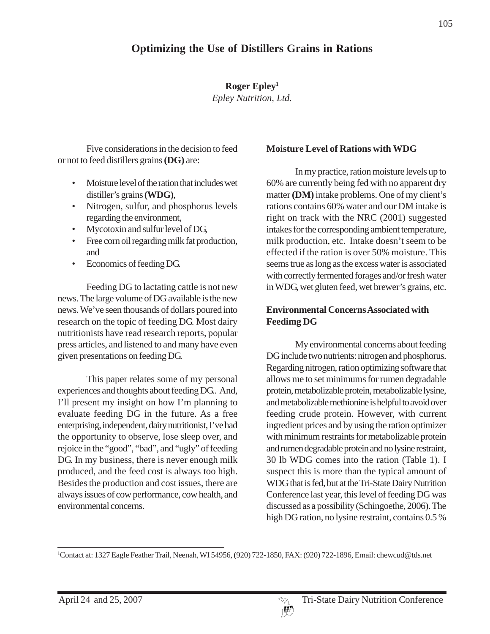**Roger Epley1** *Epley Nutrition, Ltd.*

Five considerations in the decision to feed or not to feed distillers grains **(DG)** are:

- Moisture level of the ration that includes wet distiller's grains **(WDG)**,
- Nitrogen, sulfur, and phosphorus levels regarding the environment,
- Mycotoxin and sulfur level of DG,
- Free corn oil regarding milk fat production, and
- Economics of feeding DG.

Feeding DG to lactating cattle is not new news. The large volume of DG available is the new news. We've seen thousands of dollars poured into research on the topic of feeding DG. Most dairy nutritionists have read research reports, popular press articles, and listened to and many have even given presentations on feeding DG.

This paper relates some of my personal experiences and thoughts about feeding DG.. And, I'll present my insight on how I'm planning to evaluate feeding DG in the future. As a free enterprising, independent, dairy nutritionist, I've had the opportunity to observe, lose sleep over, and rejoice in the "good", "bad", and "ugly" of feeding DG. In my business, there is never enough milk produced, and the feed cost is always too high. Besides the production and cost issues, there are always issues of cow performance, cow health, and environmental concerns.

#### **Moisture Level of Rations with WDG**

In my practice, ration moisture levels up to 60% are currently being fed with no apparent dry matter **(DM)** intake problems. One of my client's rations contains 60% water and our DM intake is right on track with the NRC (2001) suggested intakes for the corresponding ambient temperature, milk production, etc. Intake doesn't seem to be effected if the ration is over 50% moisture. This seems true as long as the excess water is associated with correctly fermented forages and/or fresh water in WDG, wet gluten feed, wet brewer's grains, etc.

# **Environmental Concerns Associated with Feedimg DG**

My environmental concerns about feeding DG include two nutrients: nitrogen and phosphorus. Regarding nitrogen, ration optimizing software that allows me to set minimums for rumen degradable protein, metabolizable protein, metabolizable lysine, and metabolizable methionine is helpful to avoid over feeding crude protein. However, with current ingredient prices and by using the ration optimizer with minimum restraints for metabolizable protein and rumen degradable protein and no lysine restraint, 30 lb WDG comes into the ration (Table 1). I suspect this is more than the typical amount of WDG that is fed, but at the Tri-State Dairy Nutrition Conference last year, this level of feeding DG was discussed as a possibility (Schingoethe, 2006). The high DG ration, no lysine restraint, contains 0.5 %

1 Contact at: 1327 Eagle Feather Trail, Neenah, WI 54956, (920) 722-1850, FAX: (920) 722-1896, Email: chewcud@tds.net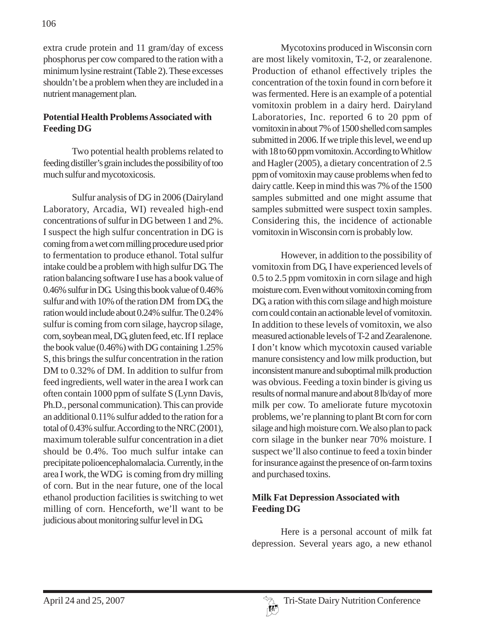extra crude protein and 11 gram/day of excess phosphorus per cow compared to the ration with a minimum lysine restraint (Table 2). These excesses shouldn't be a problem when they are included in a nutrient management plan.

#### **Potential Health Problems Associated with Feeding DG**

Two potential health problems related to feeding distiller's grain includes the possibility of too much sulfur and mycotoxicosis.

Sulfur analysis of DG in 2006 (Dairyland Laboratory, Arcadia, WI) revealed high-end concentrations of sulfur in DG between 1 and 2%. I suspect the high sulfur concentration in DG is coming from a wet corn milling procedure used prior to fermentation to produce ethanol. Total sulfur intake could be a problem with high sulfur DG. The ration balancing software I use has a book value of 0.46% sulfur in DG. Using this book value of 0.46% sulfur and with 10% of the ration DM from DG, the ration would include about 0.24% sulfur. The 0.24% sulfur is coming from corn silage, haycrop silage, corn, soybean meal, DG, gluten feed, etc. If I replace the book value (0.46%) with DG containing 1.25% S, this brings the sulfur concentration in the ration DM to 0.32% of DM. In addition to sulfur from feed ingredients, well water in the area I work can often contain 1000 ppm of sulfate S (Lynn Davis, Ph.D., personal communication). This can provide an additional 0.11% sulfur added to the ration for a total of 0.43% sulfur. According to the NRC (2001), maximum tolerable sulfur concentration in a diet should be 0.4%. Too much sulfur intake can precipitate polioencephalomalacia. Currently, in the area I work, the WDG is coming from dry milling of corn. But in the near future, one of the local ethanol production facilities is switching to wet milling of corn. Henceforth, we'll want to be judicious about monitoring sulfur level in DG.

Mycotoxins produced in Wisconsin corn are most likely vomitoxin, T-2, or zearalenone. Production of ethanol effectively triples the concentration of the toxin found in corn before it was fermented. Here is an example of a potential vomitoxin problem in a dairy herd. Dairyland Laboratories, Inc. reported 6 to 20 ppm of vomitoxin in about 7% of 1500 shelled corn samples submitted in 2006. If we triple this level, we end up with 18 to 60 ppm vomitoxin. According to Whitlow and Hagler (2005), a dietary concentration of 2.5 ppm of vomitoxin may cause problems when fed to dairy cattle. Keep in mind this was 7% of the 1500 samples submitted and one might assume that samples submitted were suspect toxin samples. Considering this, the incidence of actionable vomitoxin in Wisconsin corn is probably low.

However, in addition to the possibility of vomitoxin from DG, I have experienced levels of 0.5 to 2.5 ppm vomitoxin in corn silage and high moisture corn. Even without vomitoxin coming from DG, a ration with this corn silage and high moisture corn could contain an actionable level of vomitoxin. In addition to these levels of vomitoxin, we also measured actionable levels of T-2 and Zearalenone. I don't know which mycotoxin caused variable manure consistency and low milk production, but inconsistent manure and suboptimal milk production was obvious. Feeding a toxin binder is giving us results of normal manure and about 8 lb/day of more milk per cow. To ameliorate future mycotoxin problems, we're planning to plant Bt corn for corn silage and high moisture corn. We also plan to pack corn silage in the bunker near 70% moisture. I suspect we'll also continue to feed a toxin binder for insurance against the presence of on-farm toxins and purchased toxins.

# **Milk Fat Depression Associated with Feeding DG**

Here is a personal account of milk fat depression. Several years ago, a new ethanol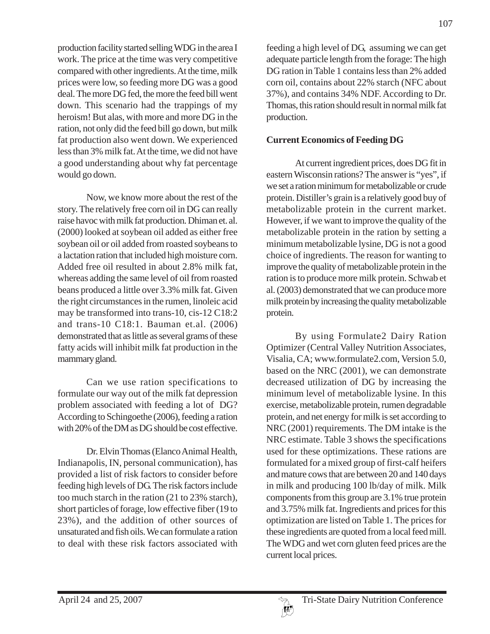production facility started selling WDG in the area I work. The price at the time was very competitive compared with other ingredients. At the time, milk prices were low, so feeding more DG was a good deal. The more DG fed, the more the feed bill went down. This scenario had the trappings of my heroism! But alas, with more and more DG in the ration, not only did the feed bill go down, but milk fat production also went down. We experienced less than 3% milk fat. At the time, we did not have a good understanding about why fat percentage would go down.

Now, we know more about the rest of the story. The relatively free corn oil in DG can really raise havoc with milk fat production. Dhiman et. al. (2000) looked at soybean oil added as either free soybean oil or oil added from roasted soybeans to a lactation ration that included high moisture corn. Added free oil resulted in about 2.8% milk fat, whereas adding the same level of oil from roasted beans produced a little over 3.3% milk fat. Given the right circumstances in the rumen, linoleic acid may be transformed into trans-10, cis-12 C18:2 and trans-10 C18:1. Bauman et.al. (2006) demonstrated that as little as several grams of these fatty acids will inhibit milk fat production in the mammary gland.

Can we use ration specifications to formulate our way out of the milk fat depression problem associated with feeding a lot of DG? According to Schingoethe (2006), feeding a ration with 20% of the DM as DG should be cost effective.

Dr. Elvin Thomas (Elanco Animal Health, Indianapolis, IN, personal communication), has provided a list of risk factors to consider before feeding high levels of DG. The risk factors include too much starch in the ration (21 to 23% starch), short particles of forage, low effective fiber (19 to 23%), and the addition of other sources of unsaturated and fish oils. We can formulate a ration to deal with these risk factors associated with

feeding a high level of DG, assuming we can get adequate particle length from the forage: The high DG ration in Table 1 contains less than 2% added corn oil, contains about 22% starch (NFC about 37%), and contains 34% NDF. According to Dr. Thomas, this ration should result in normal milk fat production.

# **Current Economics of Feeding DG**

At current ingredient prices, does DG fit in eastern Wisconsin rations? The answer is "yes", if we set a ration minimum for metabolizable or crude protein. Distiller's grain is a relatively good buy of metabolizable protein in the current market. However, if we want to improve the quality of the metabolizable protein in the ration by setting a minimum metabolizable lysine, DG is not a good choice of ingredients. The reason for wanting to improve the quality of metabolizable protein in the ration is to produce more milk protein. Schwab et al. (2003) demonstrated that we can produce more milk protein by increasing the quality metabolizable protein.

By using Formulate2 Dairy Ration Optimizer (Central Valley Nutrition Associates, Visalia, CA; www.formulate2.com, Version 5.0, based on the NRC (2001), we can demonstrate decreased utilization of DG by increasing the minimum level of metabolizable lysine. In this exercise, metabolizable protein, rumen degradable protein, and net energy for milk is set according to NRC (2001) requirements. The DM intake is the NRC estimate. Table 3 shows the specifications used for these optimizations. These rations are formulated for a mixed group of first-calf heifers and mature cows that are between 20 and 140 days in milk and producing 100 lb/day of milk. Milk components from this group are 3.1% true protein and 3.75% milk fat. Ingredients and prices for this optimization are listed on Table 1. The prices for these ingredients are quoted from a local feed mill. The WDG and wet corn gluten feed prices are the current local prices.

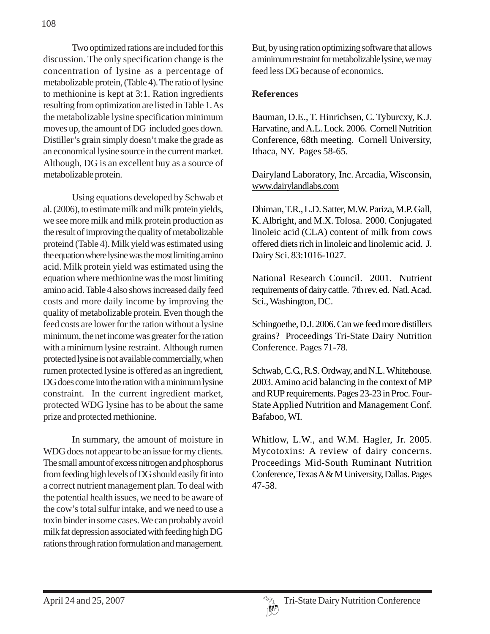Two optimized rations are included for this discussion. The only specification change is the concentration of lysine as a percentage of metabolizable protein, (Table 4). The ratio of lysine to methionine is kept at 3:1. Ration ingredients resulting from optimization are listed in Table 1. As the metabolizable lysine specification minimum moves up, the amount of DG included goes down. Distiller's grain simply doesn't make the grade as an economical lysine source in the current market. Although, DG is an excellent buy as a source of metabolizable protein.

Using equations developed by Schwab et al. (2006), to estimate milk and milk protein yields, we see more milk and milk protein production as the result of improving the quality of metabolizable proteind (Table 4). Milk yield was estimated using the equation where lysine was the most limiting amino acid. Milk protein yield was estimated using the equation where methionine was the most limiting amino acid. Table 4 also shows increased daily feed costs and more daily income by improving the quality of metabolizable protein. Even though the feed costs are lower for the ration without a lysine minimum, the net income was greater for the ration with a minimum lysine restraint. Although rumen protected lysine is not available commercially, when rumen protected lysine is offered as an ingredient, DG does come into the ration with a minimum lysine constraint. In the current ingredient market, protected WDG lysine has to be about the same prize and protected methionine.

In summary, the amount of moisture in WDG does not appear to be an issue for my clients. The small amount of excess nitrogen and phosphorus from feeding high levels of DG should easily fit into a correct nutrient management plan. To deal with the potential health issues, we need to be aware of the cow's total sulfur intake, and we need to use a toxin binder in some cases. We can probably avoid milk fat depression associated with feeding high DG rations through ration formulation and management.

But, by using ration optimizing software that allows a minimum restraint for metabolizable lysine, we may feed less DG because of economics.

### **References**

Bauman, D.E., T. Hinrichsen, C. Tyburcxy, K.J. Harvatine, and A.L. Lock. 2006. Cornell Nutrition Conference, 68th meeting. Cornell University, Ithaca, NY. Pages 58-65.

Dairyland Laboratory, Inc. Arcadia, Wisconsin, www.dairylandlabs.com

Dhiman, T.R., L.D. Satter, M.W. Pariza, M.P. Gall, K. Albright, and M.X. Tolosa. 2000. Conjugated linoleic acid (CLA) content of milk from cows offered diets rich in linoleic and linolemic acid. J. Dairy Sci. 83:1016-1027.

National Research Council. 2001. Nutrient requirements of dairy cattle. 7th rev. ed. Natl. Acad. Sci., Washington, DC.

Schingoethe, D.J. 2006. Can we feed more distillers grains? Proceedings Tri-State Dairy Nutrition Conference. Pages 71-78.

Schwab, C.G., R.S. Ordway, and N.L. Whitehouse. 2003. Amino acid balancing in the context of MP and RUP requirements. Pages 23-23 in Proc. Four-State Applied Nutrition and Management Conf. Bafaboo, WI.

Whitlow, L.W., and W.M. Hagler, Jr. 2005. Mycotoxins: A review of dairy concerns. Proceedings Mid-South Ruminant Nutrition Conference, Texas A & M University, Dallas. Pages 47-58.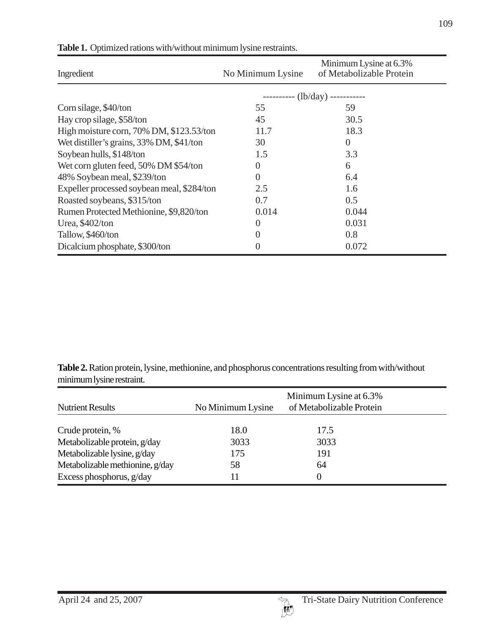| Ingredient                                 | No Minimum Lysine                 | Minimum Lysine at 6.3%<br>of Metabolizable Protein |  |
|--------------------------------------------|-----------------------------------|----------------------------------------------------|--|
|                                            | ---------- $(lb/day)$ ----------- |                                                    |  |
| Corn silage, \$40/ton                      | 55                                | 59                                                 |  |
| Hay crop silage, \$58/ton                  | 45                                | 30.5                                               |  |
| High moisture corn, 70% DM, \$123.53/ton   | 11.7                              | 18.3                                               |  |
| Wet distiller's grains, 33% DM, \$41/ton   | 30                                | $\Omega$                                           |  |
| Soybean hulls, \$148/ton                   | 1.5                               | 3.3                                                |  |
| Wet corn gluten feed, 50% DM \$54/ton      | $\Omega$                          | 6                                                  |  |
| 48% Soybean meal, \$239/ton                | $\overline{0}$                    | 6.4                                                |  |
| Expeller processed soybean meal, \$284/ton | 2.5                               | 1.6                                                |  |
| Roasted soybeans, \$315/ton                | 0.7                               | 0.5                                                |  |
| Rumen Protected Methionine, \$9,820/ton    | 0.014                             | 0.044                                              |  |
| Urea, \$402/ton                            | $\theta$                          | 0.031                                              |  |
| Tallow, \$460/ton                          | $\overline{0}$                    | 0.8                                                |  |
| Dicalcium phosphate, \$300/ton             | 0                                 | 0.072                                              |  |

#### **Table 1.** Optimized rations with/without minimum lysine restraints.

**Table 2.** Ration protein, lysine, methionine, and phosphorus concentrations resulting from with/without minimum lysine restraint.

|                                 | Minimum Lysine at 6.3% |                          |  |
|---------------------------------|------------------------|--------------------------|--|
| <b>Nutrient Results</b>         | No Minimum Lysine      | of Metabolizable Protein |  |
| Crude protein, %                | 18.0                   | 17.5                     |  |
| Metabolizable protein, g/day    | 3033                   | 3033                     |  |
| Metabolizable lysine, g/day     | 175                    | 191                      |  |
| Metabolizable methionine, g/day | 58                     | 64                       |  |
| Excess phosphorus, g/day        | $\vert$ 1              | $\Omega$                 |  |